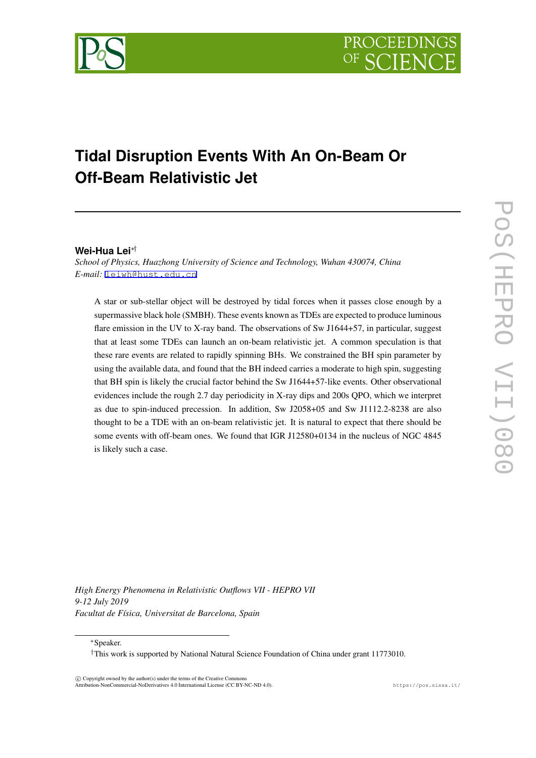

# **Tidal Disruption Events With An On-Beam Or Off-Beam Relativistic Jet**

## **Wei-Hua Lei***∗†*

*School of Physics, Huazhong University of Science and Technology, Wuhan 430074, China E-mail:* [leiwh@hust.edu.cn](mailto:leiwh@hust.edu.cn)

A star or sub-stellar object will be destroyed by tidal forces when it passes close enough by a supermassive black hole (SMBH). These events known as TDEs are expected to produce luminous flare emission in the UV to X-ray band. The observations of Sw J1644+57, in particular, suggest that at least some TDEs can launch an on-beam relativistic jet. A common speculation is that these rare events are related to rapidly spinning BHs. We constrained the BH spin parameter by using the available data, and found that the BH indeed carries a moderate to high spin, suggesting that BH spin is likely the crucial factor behind the Sw J1644+57-like events. Other observational evidences include the rough 2.7 day periodicity in X-ray dips and 200s QPO, which we interpret as due to spin-induced precession. In addition, Sw J2058+05 and Sw J1112.2-8238 are also thought to be a TDE with an on-beam relativistic jet. It is natural to expect that there should be some events with off-beam ones. We found that IGR J12580+0134 in the nucleus of NGC 4845 is likely such a case.

POS(HEPRO VII)080 PoS(HEPRO VII)080

*High Energy Phenomena in Relativistic Outflows VII - HEPRO VII 9-12 July 2019 Facultat de Física, Universitat de Barcelona, Spain*

*∗*Speaker.

 $(\widehat{c})$  Copyright owned by the author(s) under the terms of the Creative Common Attribution-NonCommercial-NoDerivatives 4.0 International License (CC BY-NC-ND 4.0). https://pos.sissa.it/

*<sup>†</sup>*This work is supported by National Natural Science Foundation of China under grant 11773010.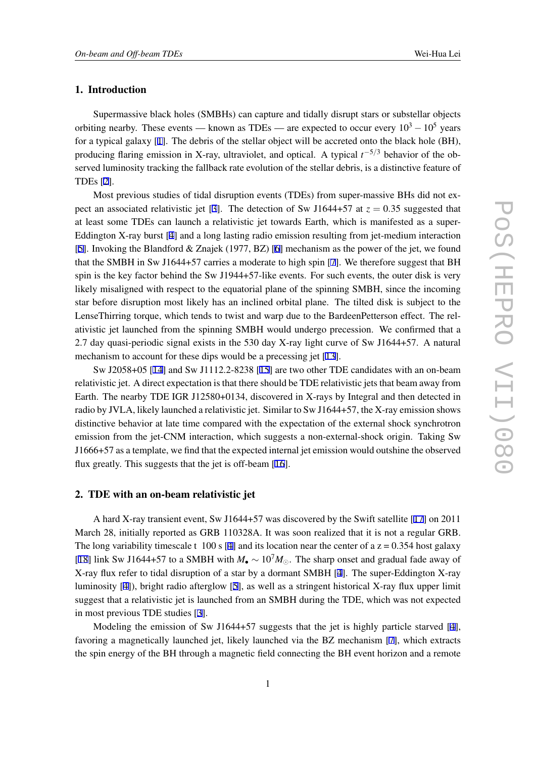## 1. Introduction

Supermassive black holes (SMBHs) can capture and tidally disrupt stars or substellar objects orbiting nearby. These events — known as TDEs — are expected to occur every <sup>10</sup><sup>3</sup> *<sup>−</sup>*10<sup>5</sup> years for a typical galaxy [[1](#page-6-0)]. The debris of the stellar object will be accreted onto the black hole (BH), producing flaring emission in X-ray, ultraviolet, and optical. A typical *t <sup>−</sup>*5*/*<sup>3</sup> behavior of the observed luminosity tracking the fallback rate evolution of the stellar debris, is a distinctive feature of TDEs [\[2\]](#page-6-0).

Most previous studies of tidal disruption events (TDEs) from super-massive BHs did not ex-pect an associated relativistic jet [[3](#page-6-0)]. The detection of Sw J1644+57 at  $z = 0.35$  suggested that at least some TDEs can launch a relativistic jet towards Earth, which is manifested as a super-Eddington X-ray burst [[4](#page-6-0)] and a long lasting radio emission resulting from jet-medium interaction [[5](#page-6-0)]. Invoking the Blandford & Znajek (1977, BZ) [\[6\]](#page-6-0) mechanism as the power of the jet, we found that the SMBH in Sw J1644+57 carries a moderate to high spin [\[7\]](#page-6-0). We therefore suggest that BH spin is the key factor behind the Sw J1944+57-like events. For such events, the outer disk is very likely misaligned with respect to the equatorial plane of the spinning SMBH, since the incoming star before disruption most likely has an inclined orbital plane. The tilted disk is subject to the LenseThirring torque, which tends to twist and warp due to the BardeenPetterson effect. The relativistic jet launched from the spinning SMBH would undergo precession. We confirmed that a 2.7 day quasi-periodic signal exists in the 530 day X-ray light curve of Sw J1644+57. A natural mechanism to account for these dips would be a precessing jet [[13\]](#page-7-0).

Sw J2058+05 [[14\]](#page-7-0) and Sw J1112.2-8238 [\[15](#page-7-0)] are two other TDE candidates with an on-beam relativistic jet. A direct expectation is that there should be TDE relativistic jets that beam away from Earth. The nearby TDE IGR J12580+0134, discovered in X-rays by Integral and then detected in radio by JVLA, likely launched a relativistic jet. Similar to Sw J1644+57, the X-ray emission shows distinctive behavior at late time compared with the expectation of the external shock synchrotron emission from the jet-CNM interaction, which suggests a non-external-shock origin. Taking Sw J1666+57 as a template, we find that the expected internal jet emission would outshine the observed flux greatly. This suggests that the jet is off-beam [\[16](#page-7-0)].

#### 2. TDE with an on-beam relativistic jet

A hard X-ray transient event, Sw J1644+57 was discovered by the Swift satellite [[17](#page-7-0)] on 2011 March 28, initially reported as GRB 110328A. It was soon realized that it is not a regular GRB. The long variability timescale t 100 s [\[4\]](#page-6-0) and its location near the center of a  $z = 0.354$  host galaxy [[18\]](#page-7-0) link Sw J1644+57 to a SMBH with  $M_{\bullet} \sim 10^7 M_{\odot}$ . The sharp onset and gradual fade away of X-ray flux refer to tidal disruption of a star by a dormant SMBH [[4](#page-6-0)]. The super-Eddington X-ray luminosity [[4](#page-6-0)]), bright radio afterglow [[5](#page-6-0)], as well as a stringent historical X-ray flux upper limit suggest that a relativistic jet is launched from an SMBH during the TDE, which was not expected in most previous TDE studies [\[3\]](#page-6-0).

Modeling the emission of Sw J1644+57 suggests that the jet is highly particle starved [\[4\]](#page-6-0). favoring a magnetically launched jet, likely launched via the BZ mechanism [\[7\]](#page-6-0), which extracts the spin energy of the BH through a magnetic field connecting the BH event horizon and a remote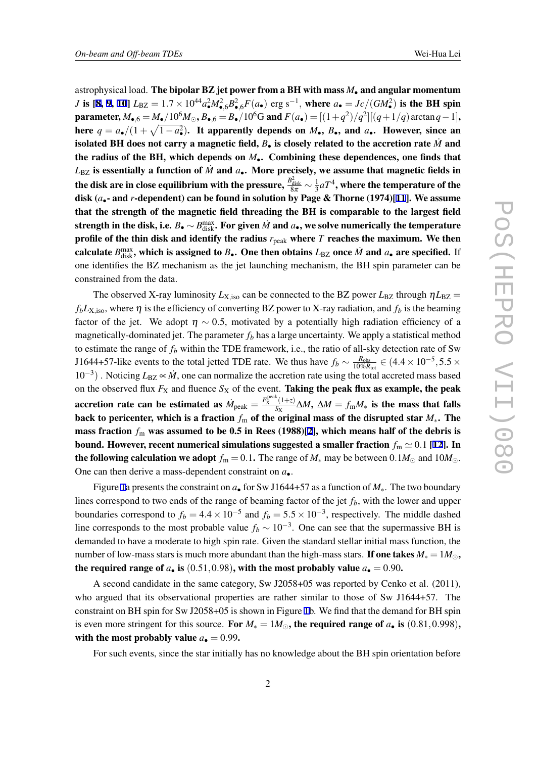astrophysical load. The bipolar BZ jet power from a BH with mass *M•* and angular momentum *J* is [[8](#page-6-0), [9,](#page-6-0) [10](#page-6-0)]  $L_{BZ} = 1.7 \times 10^{44} a_{\bullet}^2 M_{\bullet,6}^2 B_{\bullet,6}^2 F(a_{\bullet})$  erg s<sup>-1</sup>, where  $a_{\bullet} = Jc/(GM_{\bullet}^2)$  is the BH spin **parameter,**  $M_{\bullet,6} = M_{\bullet}/10^6 M_{\odot}$ ,  $B_{\bullet,6} = B_{\bullet}/10^6 G$  and  $F(a_{\bullet}) = [(1+q^2)/q^2][(q+1/q) \arctan q - 1]$ , here  $q = a_{\bullet}/(1 + \sqrt{1 - a_{\bullet}^2})$ *•* ). It apparently depends on *M•*, *B•*, and *a•*. However, since an isolated BH does not carry a magnetic field,  $B_{\bullet}$  is closely related to the accretion rate  $\dot{M}$  and the radius of the BH, which depends on *M•*. Combining these dependences, one finds that  $L_{\text{BZ}}$  is essentially a function of  $\dot{M}$  and  $a_{\bullet}$ . More precisely, we assume that magnetic fields in the disk are in close equilibrium with the pressure,  $\frac{B_{\rm disk}^2}{8\pi}\sim\frac{1}{3}$  $\frac{1}{3} a T^4$ , where the temperature of the disk (*a•*- and *r*-dependent) can be found in solution by Page & Thorne (1974)[[11\]](#page-6-0). We assume that the strength of the magnetic field threading the BH is comparable to the largest field strength in the disk, i.e.  $B_\bullet \sim B^{\max}_{\rm disk}$ . For given  $\dot{M}$  and  $a_\bullet$ , we solve numerically the temperature profile of the thin disk and identify the radius  $r_{\text{peak}}$  where *T* reaches the maximum. We then calculate  $B_{\text{disk}}^{\text{max}}$ , which is assigned to  $B_{\bullet}$ . One then obtains  $L_{\text{BZ}}$  once  $\dot{M}$  and  $a_{\bullet}$  are specified. If one identifies the BZ mechanism as the jet launching mechanism, the BH spin parameter can be constrained from the data.

The observed X-ray luminosity  $L_{\text{X},\text{iso}}$  can be connected to the BZ power  $L_{\text{BZ}}$  through  $\eta L_{\text{BZ}} =$  $f_b L_{\text{X,iso}}$ , where  $\eta$  is the efficiency of converting BZ power to X-ray radiation, and  $f_b$  is the beaming factor of the jet. We adopt  $\eta \sim 0.5$ , motivated by a potentially high radiation efficiency of a magnetically-dominated jet. The parameter  $f<sub>b</sub>$  has a large uncertainty. We apply a statistical method to estimate the range of *f<sup>b</sup>* within the TDE framework, i.e., the ratio of all-sky detection rate of Sw J1644+57-like events to the total jetted TDE rate. We thus have  $f_b \sim \frac{R_{\text{obs}}}{10\%R}$  $\frac{R_{\text{obs}}}{10\%R_{\text{tot}}}$  ∈ (4.4 × 10<sup>-5</sup>,5.5 × 10<sup>-3</sup>). Noticing *L*<sub>BZ</sub>  $\propto$  *M*<sup>*,*</sup> one can normalize the accretion rate using the total accreted mass based on the observed flux  $F_X$  and fluence  $S_X$  of the event. Taking the peak flux as example, the peak accretion rate can be estimated as  $\dot{M}_{\text{peak}} = \frac{F_X^{\text{peak}}(1+z)}{S_X}$  $\frac{(1+2)}{S_X}$ ∆*M*, ∆*M* = *f*<sub>m</sub>*M*<sup>*∗*</sup> **is the mass that falls** back to pericenter, which is a fraction  $f_{\text{m}}$  of the original mass of the disrupted star  $M_{*}$ . The mass fraction  $f_m$  was assumed to be 0.5 in Rees (1988)[[2](#page-6-0)], which means half of the debris is bound. However, recent numerical simulations suggested a smaller fraction  $f_m \simeq 0.1$  [[12\]](#page-6-0). In the following calculation we adopt  $f_m = 0.1$ . The range of  $M_*$  may be between  $0.1M_\odot$  and  $10M_\odot$ . One can then derive a mass-dependent constraint on *a•*.

Figure [1a](#page-3-0) presents the constraint on *a•* for Sw J1644+57 as a function of *M∗*. The two boundary lines correspond to two ends of the range of beaming factor of the jet *fb*, with the lower and upper boundaries correspond to  $f_b = 4.4 \times 10^{-5}$  and  $f_b = 5.5 \times 10^{-3}$ , respectively. The middle dashed line corresponds to the most probable value  $f_b \sim 10^{-3}$ . One can see that the supermassive BH is demanded to have a moderate to high spin rate. Given the standard stellar initial mass function, the number of low-mass stars is much more abundant than the high-mass stars. If one takes  $M_* = 1 M_{\odot}$ , the required range of  $a_{\bullet}$  is (0.51,0.98), with the most probably value  $a_{\bullet} = 0.90$ .

A second candidate in the same category, Sw J2058+05 was reported by Cenko et al. (2011), who argued that its observational properties are rather similar to those of Sw J1644+57. The constraint on BH spin for Sw J2058+05 is shown in Figure [1](#page-3-0)b. We find that the demand for BH spin is even more stringent for this source. For  $M_* = 1M_{\odot}$ , the required range of  $a_{\bullet}$  is (0.81,0*.*998), with the most probably value  $a_{\bullet} = 0.99$ .

For such events, since the star initially has no knowledge about the BH spin orientation before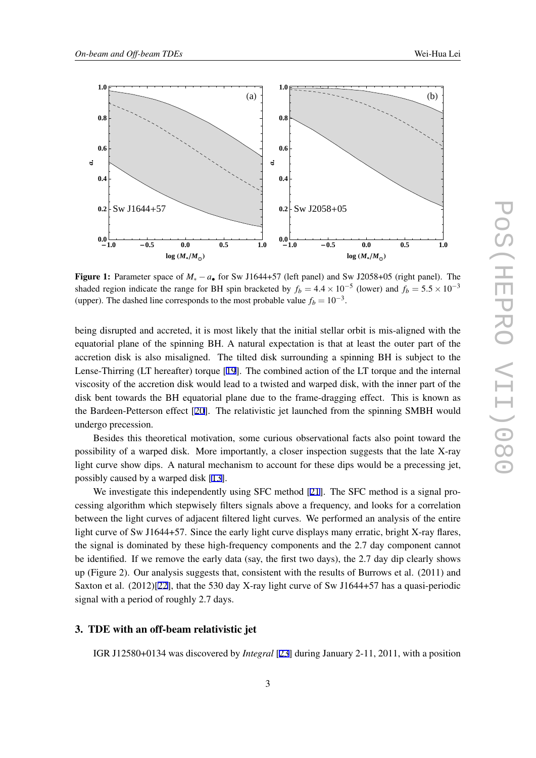<span id="page-3-0"></span>

Figure 1: Parameter space of *M<sup>∗</sup> − a•* for Sw J1644+57 (left panel) and Sw J2058+05 (right panel). The shaded region indicate the range for BH spin bracketed by  $f_b = 4.4 \times 10^{-5}$  (lower) and  $f_b = 5.5 \times 10^{-3}$ (upper). The dashed line corresponds to the most probable value  $f_b = 10^{-3}$ .

being disrupted and accreted, it is most likely that the initial stellar orbit is mis-aligned with the equatorial plane of the spinning BH. A natural expectation is that at least the outer part of the accretion disk is also misaligned. The tilted disk surrounding a spinning BH is subject to the Lense-Thirring (LT hereafter) torque [\[19](#page-7-0)]. The combined action of the LT torque and the internal viscosity of the accretion disk would lead to a twisted and warped disk, with the inner part of the disk bent towards the BH equatorial plane due to the frame-dragging effect. This is known as the Bardeen-Petterson effect [\[20](#page-7-0)]. The relativistic jet launched from the spinning SMBH would undergo precession.

Besides this theoretical motivation, some curious observational facts also point toward the possibility of a warped disk. More importantly, a closer inspection suggests that the late X-ray light curve show dips. A natural mechanism to account for these dips would be a precessing jet, possibly caused by a warped disk [\[13](#page-7-0)].

We investigate this independently using SFC method [\[21](#page-7-0)]. The SFC method is a signal processing algorithm which stepwisely filters signals above a frequency, and looks for a correlation between the light curves of adjacent filtered light curves. We performed an analysis of the entire light curve of Sw J1644+57. Since the early light curve displays many erratic, bright X-ray flares, the signal is dominated by these high-frequency components and the 2.7 day component cannot be identified. If we remove the early data (say, the first two days), the 2.7 day dip clearly shows up (Figure 2). Our analysis suggests that, consistent with the results of Burrows et al. (2011) and Saxton et al. (2012)[\[22](#page-7-0)], that the 530 day X-ray light curve of Sw J1644+57 has a quasi-periodic signal with a period of roughly 2.7 days.

## 3. TDE with an off-beam relativistic jet

IGR J12580+0134 was discovered by *Integral* [\[23](#page-7-0)] during January 2-11, 2011, with a position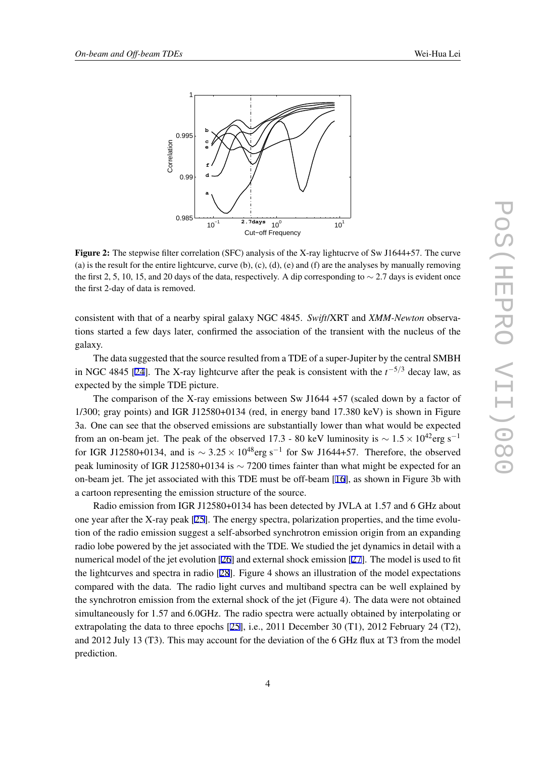



Figure 2: The stepwise filter correlation (SFC) analysis of the X-ray lightucrye of Sw J1644+57. The curve (a) is the result for the entire lightcurve, curve (b), (c), (d), (e) and (f) are the analyses by manually removing the first 2, 5, 10, 15, and 20 days of the data, respectively. A dip corresponding to *∼* 2.7 days is evident once the first 2-day of data is removed.

consistent with that of a nearby spiral galaxy NGC 4845. *Swift*/XRT and *XMM-Newton* observations started a few days later, confirmed the association of the transient with the nucleus of the galaxy.

The data suggested that the source resulted from a TDE of a super-Jupiter by the central SMBH in NGC 4845 [[24\]](#page-7-0). The X-ray lightcurve after the peak is consistent with the *t <sup>−</sup>*5*/*<sup>3</sup> decay law, as expected by the simple TDE picture.

The comparison of the X-ray emissions between Sw J1644 +57 (scaled down by a factor of 1/300; gray points) and IGR J12580+0134 (red, in energy band 17.380 keV) is shown in Figure 3a. One can see that the observed emissions are substantially lower than what would be expected from an on-beam jet. The peak of the observed 17.3 - 80 keV luminosity is  $\sim 1.5 \times 10^{42}$ erg s<sup>-1</sup> for IGR J12580+0134, and is  $\sim 3.25 \times 10^{48}$ erg s<sup>-1</sup> for Sw J1644+57. Therefore, the observed peak luminosity of IGR J12580+0134 is *∼* 7200 times fainter than what might be expected for an on-beam jet. The jet associated with this TDE must be off-beam [\[16](#page-7-0)], as shown in Figure 3b with a cartoon representing the emission structure of the source.

Radio emission from IGR J12580+0134 has been detected by JVLA at 1.57 and 6 GHz about one year after the X-ray peak [\[25](#page-7-0)]. The energy spectra, polarization properties, and the time evolution of the radio emission suggest a self-absorbed synchrotron emission origin from an expanding radio lobe powered by the jet associated with the TDE. We studied the jet dynamics in detail with a numerical model of the jet evolution [[26\]](#page-7-0) and external shock emission [[27\]](#page-7-0). The model is used to fit the lightcurves and spectra in radio [\[28\]](#page-7-0). Figure 4 shows an illustration of the model expectations compared with the data. The radio light curves and multiband spectra can be well explained by the synchrotron emission from the external shock of the jet (Figure 4). The data were not obtained simultaneously for 1.57 and 6.0GHz. The radio spectra were actually obtained by interpolating or extrapolating the data to three epochs [[25\]](#page-7-0), i.e., 2011 December 30 (T1), 2012 February 24 (T2), and 2012 July 13 (T3). This may account for the deviation of the 6 GHz flux at T3 from the model prediction.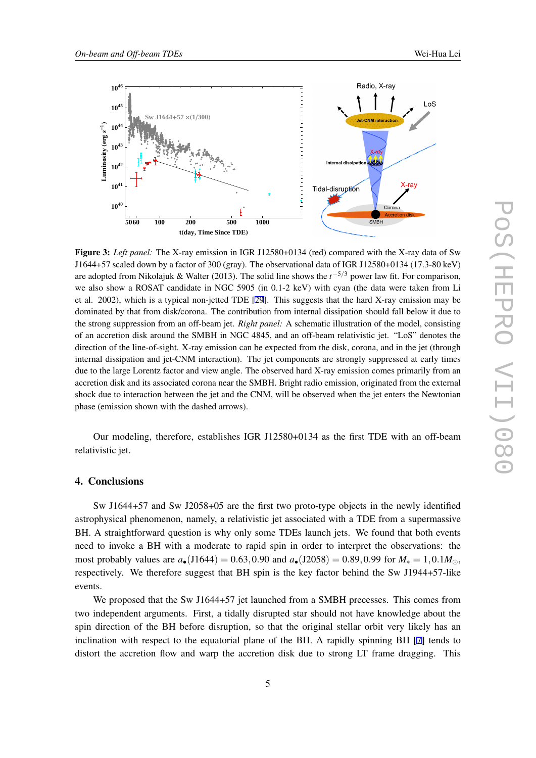

Figure 3: *Left panel:* The X-ray emission in IGR J12580+0134 (red) compared with the X-ray data of Sw J1644+57 scaled down by a factor of 300 (gray). The observational data of IGR J12580+0134 (17.3-80 keV) are adopted from Nikolajuk & Walter (2013). The solid line shows the *t <sup>−</sup>*5*/*<sup>3</sup> power law fit. For comparison, we also show a ROSAT candidate in NGC 5905 (in 0.1-2 keV) with cyan (the data were taken from Li et al. 2002), which is a typical non-jetted TDE [\[29](#page-7-0)]. This suggests that the hard X-ray emission may be dominated by that from disk/corona. The contribution from internal dissipation should fall below it due to the strong suppression from an off-beam jet. *Right panel:* A schematic illustration of the model, consisting of an accretion disk around the SMBH in NGC 4845, and an off-beam relativistic jet. "LoS" denotes the direction of the line-of-sight. X-ray emission can be expected from the disk, corona, and in the jet (through internal dissipation and jet-CNM interaction). The jet components are strongly suppressed at early times due to the large Lorentz factor and view angle. The observed hard X-ray emission comes primarily from an accretion disk and its associated corona near the SMBH. Bright radio emission, originated from the external shock due to interaction between the jet and the CNM, will be observed when the jet enters the Newtonian phase (emission shown with the dashed arrows).

Our modeling, therefore, establishes IGR J12580+0134 as the first TDE with an off-beam relativistic jet.

## 4. Conclusions

Sw J1644+57 and Sw J2058+05 are the first two proto-type objects in the newly identified astrophysical phenomenon, namely, a relativistic jet associated with a TDE from a supermassive BH. A straightforward question is why only some TDEs launch jets. We found that both events need to invoke a BH with a moderate to rapid spin in order to interpret the observations: the most probably values are  $a_{\bullet}(J1644) = 0.63, 0.90$  and  $a_{\bullet}(J2058) = 0.89, 0.99$  for  $M_* = 1, 0.1 M_{\odot}$ , respectively. We therefore suggest that BH spin is the key factor behind the Sw J1944+57-like events.

We proposed that the Sw J1644+57 jet launched from a SMBH precesses. This comes from two independent arguments. First, a tidally disrupted star should not have knowledge about the spin direction of the BH before disruption, so that the original stellar orbit very likely has an inclination with respect to the equatorial plane of the BH. A rapidly spinning BH [\[7](#page-6-0)] tends to distort the accretion flow and warp the accretion disk due to strong LT frame dragging. This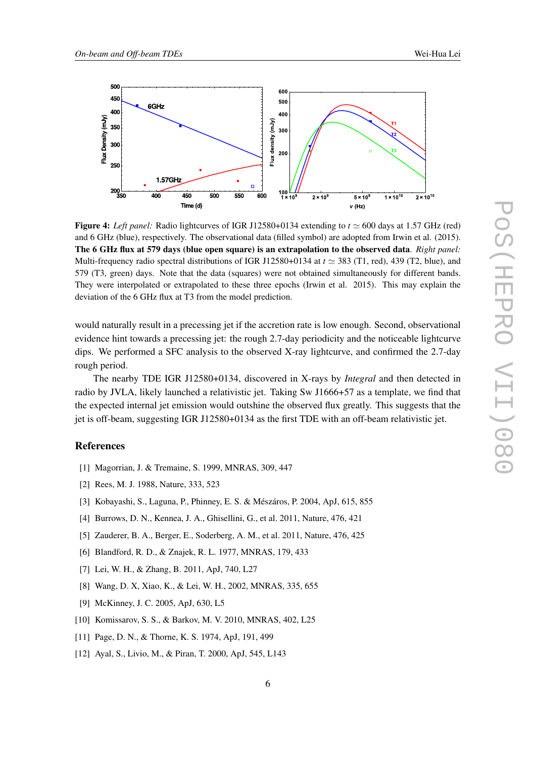<span id="page-6-0"></span>

Figure 4: *Left panel:* Radio lightcurves of IGR J12580+0134 extending to  $t \approx 600$  days at 1.57 GHz (red) and 6 GHz (blue), respectively. The observational data (filled symbol) are adopted from Irwin et al. (2015). The 6 GHz flux at 579 days (blue open square) is an extrapolation to the observed data. *Right panel:* Multi-frequency radio spectral distributions of IGR J12580+0134 at *t ≃* 383 (T1, red), 439 (T2, blue), and 579 (T3, green) days. Note that the data (squares) were not obtained simultaneously for different bands. They were interpolated or extrapolated to these three epochs (Irwin et al. 2015). This may explain the deviation of the 6 GHz flux at T3 from the model prediction.

would naturally result in a precessing jet if the accretion rate is low enough. Second, observational evidence hint towards a precessing jet: the rough 2.7-day periodicity and the noticeable lightcurve dips. We performed a SFC analysis to the observed X-ray lightcurve, and confirmed the 2.7-day rough period.

The nearby TDE IGR J12580+0134, discovered in X-rays by *Integral* and then detected in radio by JVLA, likely launched a relativistic jet. Taking Sw J1666+57 as a template, we find that the expected internal jet emission would outshine the observed flux greatly. This suggests that the jet is off-beam, suggesting IGR J12580+0134 as the first TDE with an off-beam relativistic jet.

### References

- [1] Magorrian, J. & Tremaine, S. 1999, MNRAS, 309, 447
- [2] Rees, M. J. 1988, Nature, 333, 523
- [3] Kobayashi, S., Laguna, P., Phinney, E. S. & Mészáros, P. 2004, ApJ, 615, 855
- [4] Burrows, D. N., Kennea, J. A., Ghisellini, G., et al. 2011, Nature, 476, 421
- [5] Zauderer, B. A., Berger, E., Soderberg, A. M., et al. 2011, Nature, 476, 425
- [6] Blandford, R. D., & Znajek, R. L. 1977, MNRAS, 179, 433
- [7] Lei, W. H., & Zhang, B. 2011, ApJ, 740, L27
- [8] Wang, D. X, Xiao, K., & Lei, W. H., 2002, MNRAS, 335, 655
- [9] McKinney, J. C. 2005, ApJ, 630, L5
- [10] Komissarov, S. S., & Barkov, M. V. 2010, MNRAS, 402, L25
- [11] Page, D. N., & Thorne, K. S. 1974, ApJ, 191, 499
- [12] Ayal, S., Livio, M., & Piran, T. 2000, ApJ, 545, L143